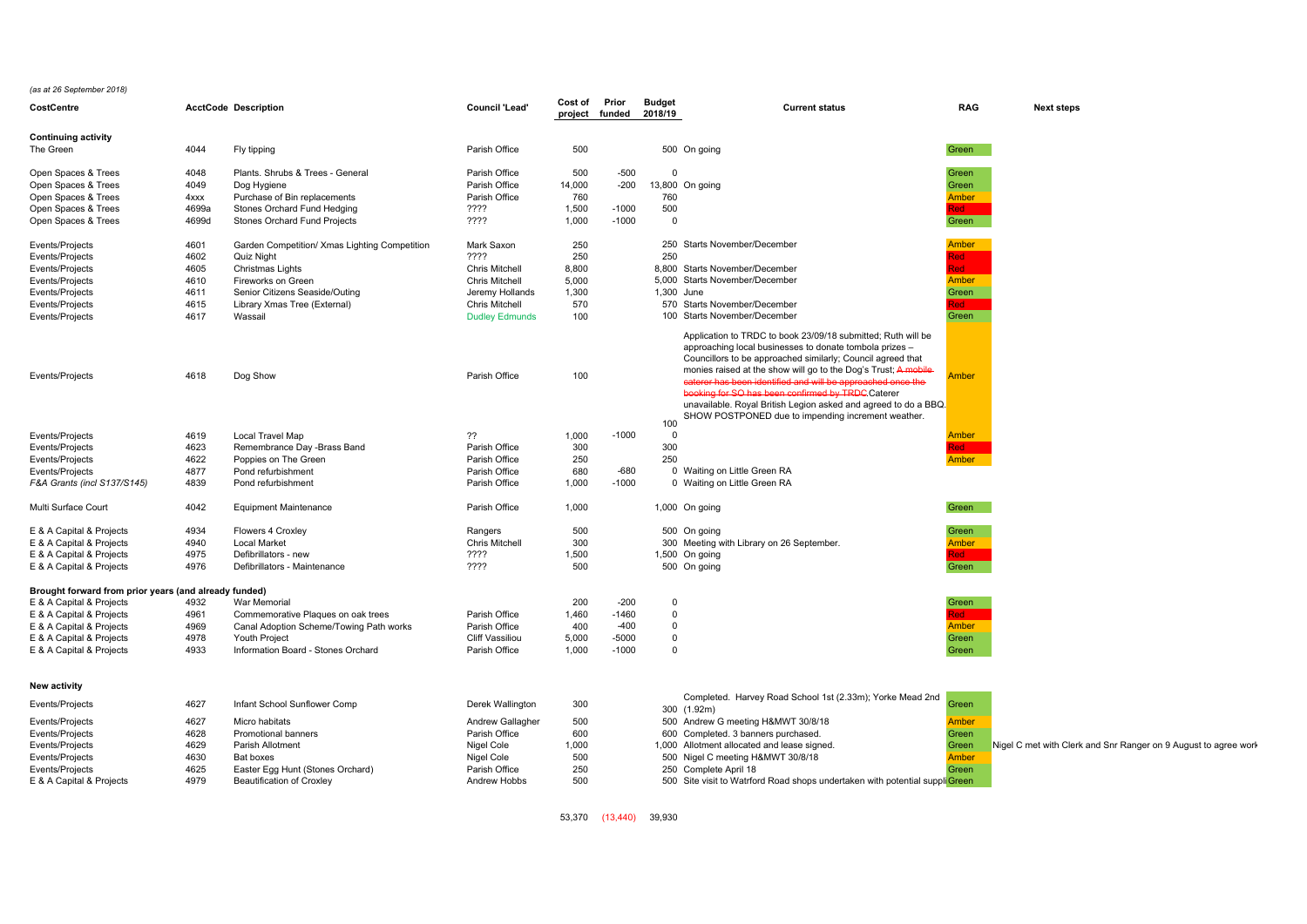*(as at 26 September 2018)*

| CostCentre                                            |              | <b>AcctCode Description</b>                   | <b>Council 'Lead'</b>  | Cost of    | Prior<br>project funded 2018/19 | Budget      | <b>Current status</b>                                                                                                   | <b>RAG</b>                 | <b>Next steps</b>                                               |
|-------------------------------------------------------|--------------|-----------------------------------------------|------------------------|------------|---------------------------------|-------------|-------------------------------------------------------------------------------------------------------------------------|----------------------------|-----------------------------------------------------------------|
| <b>Continuing activity</b>                            |              |                                               |                        |            |                                 |             |                                                                                                                         |                            |                                                                 |
| The Green                                             | 4044         | Fly tipping                                   | Parish Office          | 500        |                                 |             | 500 On going                                                                                                            | Green                      |                                                                 |
| Open Spaces & Trees                                   | 4048         | Plants. Shrubs & Trees - General              | Parish Office          | 500        | $-500$                          | $\Omega$    |                                                                                                                         | Green                      |                                                                 |
| Open Spaces & Trees                                   | 4049         | Dog Hygiene                                   | Parish Office          | 14,000     | $-200$                          |             | 13,800 On going                                                                                                         | Green                      |                                                                 |
| Open Spaces & Trees                                   | 4xxx         | Purchase of Bin replacements                  | Parish Office          | 760        |                                 | 760         |                                                                                                                         | Amber                      |                                                                 |
| Open Spaces & Trees                                   | 4699a        | Stones Orchard Fund Hedging                   | ????                   | 1,500      | $-1000$                         | 500         |                                                                                                                         | Red i                      |                                                                 |
| Open Spaces & Trees                                   | 4699d        | Stones Orchard Fund Projects                  | ????                   | 1,000      | $-1000$                         | $\mathbf 0$ |                                                                                                                         | Green                      |                                                                 |
| Events/Projects                                       | 4601         | Garden Competition/ Xmas Lighting Competition | Mark Saxon             | 250        |                                 |             | 250 Starts November/December                                                                                            | Amber                      |                                                                 |
| Events/Projects                                       | 4602         | <b>Quiz Night</b>                             | ????                   | 250        |                                 | 250         |                                                                                                                         | <b>Red</b>                 |                                                                 |
| Events/Projects                                       | 4605         | Christmas Lights                              | <b>Chris Mitchell</b>  | 8,800      |                                 |             | 8,800 Starts November/December                                                                                          | <b>Red</b>                 |                                                                 |
| Events/Projects                                       | 4610         | Fireworks on Green                            | <b>Chris Mitchell</b>  | 5,000      |                                 |             | 5,000 Starts November/December                                                                                          | Amber                      |                                                                 |
| Events/Projects                                       | 4611         | Senior Citizens Seaside/Outing                | Jeremy Hollands        | 1,300      |                                 | 1.300 June  |                                                                                                                         | Green                      |                                                                 |
| Events/Projects                                       | 4615         | Library Xmas Tree (External)                  | <b>Chris Mitchell</b>  | 570        |                                 |             | 570 Starts November/December                                                                                            | <b>Red</b>                 |                                                                 |
| Events/Projects                                       | 4617         | Wassail                                       | <b>Dudley Edmunds</b>  | 100        |                                 |             | 100 Starts November/December                                                                                            | Green                      |                                                                 |
|                                                       |              |                                               |                        |            |                                 |             | Application to TRDC to book 23/09/18 submitted; Ruth will be<br>approaching local businesses to donate tombola prizes - |                            |                                                                 |
|                                                       |              |                                               |                        |            |                                 |             | Councillors to be approached similarly; Council agreed that                                                             |                            |                                                                 |
|                                                       |              |                                               |                        |            |                                 |             | monies raised at the show will go to the Dog's Trust; A mobile-                                                         |                            |                                                                 |
| Events/Projects                                       | 4618         | Dog Show                                      | Parish Office          | 100        |                                 |             | caterer has been identified and will be approached once the                                                             | <b><i><u>Imber</u></i></b> |                                                                 |
|                                                       |              |                                               |                        |            |                                 |             | booking for SO has been confirmed by TRDC Caterer                                                                       |                            |                                                                 |
|                                                       |              |                                               |                        |            |                                 |             | unavailable. Royal British Legion asked and agreed to do a BBQ.                                                         |                            |                                                                 |
|                                                       |              |                                               |                        |            |                                 |             | SHOW POSTPONED due to impending increment weather.                                                                      |                            |                                                                 |
|                                                       |              |                                               |                        |            |                                 | 100         |                                                                                                                         |                            |                                                                 |
| Events/Projects                                       | 4619         | Local Travel Map                              | ??                     | 1,000      | $-1000$                         | $\Omega$    |                                                                                                                         | Amber                      |                                                                 |
| Events/Projects                                       | 4623         | Remembrance Day -Brass Band                   | Parish Office          | 300        |                                 | 300         |                                                                                                                         | Red                        |                                                                 |
| Events/Projects                                       | 4622         | Poppies on The Green                          | Parish Office          | 250        |                                 | 250         |                                                                                                                         | Amber                      |                                                                 |
| Events/Projects                                       | 4877         | Pond refurbishment                            | Parish Office          | 680        | $-680$<br>$-1000$               |             | 0 Waiting on Little Green RA                                                                                            |                            |                                                                 |
| F&A Grants (incl S137/S145)                           | 4839         | Pond refurbishment                            | Parish Office          | 1,000      |                                 |             | 0 Waiting on Little Green RA                                                                                            |                            |                                                                 |
| Multi Surface Court                                   | 4042         | <b>Equipment Maintenance</b>                  | Parish Office          | 1,000      |                                 |             | 1,000 On going                                                                                                          | Green                      |                                                                 |
| E & A Capital & Projects                              | 4934         | Flowers 4 Croxley                             | Rangers                | 500        |                                 |             | 500 On going                                                                                                            | Green                      |                                                                 |
| E & A Capital & Projects                              | 4940         | <b>Local Market</b>                           | Chris Mitchell         | 300        |                                 |             | 300 Meeting with Library on 26 September.                                                                               | Amber                      |                                                                 |
| E & A Capital & Projects                              | 4975         | Defibrillators - new                          | ????                   | 1,500      |                                 |             | 1,500 On going                                                                                                          | Red ⊹                      |                                                                 |
| E & A Capital & Projects                              | 4976         | Defibrillators - Maintenance                  | ????                   | 500        |                                 |             | 500 On going                                                                                                            | Green                      |                                                                 |
| Brought forward from prior years (and already funded) |              |                                               |                        |            |                                 |             |                                                                                                                         |                            |                                                                 |
| E & A Capital & Projects                              | 4932         | War Memorial                                  |                        | 200        | $-200$                          | $\Omega$    |                                                                                                                         | Green                      |                                                                 |
| E & A Capital & Projects                              | 4961         | Commemorative Plaques on oak trees            | Parish Office          | 1,460      | $-1460$                         | $\Omega$    |                                                                                                                         | <b>Red</b>                 |                                                                 |
| E & A Capital & Projects                              | 4969         | Canal Adoption Scheme/Towing Path works       | Parish Office          | 400        | $-400$                          | $\mathbf 0$ |                                                                                                                         | Amber                      |                                                                 |
| E & A Capital & Projects                              | 4978         | Youth Project                                 | <b>Cliff Vassiliou</b> | 5,000      | $-5000$                         | $\Omega$    |                                                                                                                         | Green                      |                                                                 |
| E & A Capital & Projects                              | 4933         | Information Board - Stones Orchard            | Parish Office          | 1,000      | $-1000$                         | $\Omega$    |                                                                                                                         | Green                      |                                                                 |
| New activity                                          |              |                                               |                        |            |                                 |             |                                                                                                                         |                            |                                                                 |
|                                                       | 4627         | Infant School Sunflower Comp                  |                        |            |                                 |             | Completed. Harvey Road School 1st (2.33m); Yorke Mead 2nd                                                               |                            |                                                                 |
| Events/Projects                                       |              |                                               | Derek Wallington       | 300        |                                 |             | 300 (1.92m)                                                                                                             | Green                      |                                                                 |
| Events/Projects                                       | 4627         | Micro habitats                                | Andrew Gallagher       | 500        |                                 |             | 500 Andrew G meeting H&MWT 30/8/18                                                                                      | Amber                      |                                                                 |
| Events/Projects                                       | 4628         | <b>Promotional banners</b>                    | Parish Office          | 600        |                                 |             | 600 Completed. 3 banners purchased.                                                                                     | Green                      |                                                                 |
| Events/Projects                                       | 4629         | Parish Allotment                              | Nigel Cole             | 1,000      |                                 |             | 1,000 Allotment allocated and lease signed.                                                                             | Green                      | Nigel C met with Clerk and Snr Ranger on 9 August to agree worl |
| Events/Projects                                       | 4630<br>4625 | Bat boxes                                     | Nigel Cole             | 500<br>250 |                                 |             | 500 Nigel C meeting H&MWT 30/8/18                                                                                       | <b>Amber</b>               |                                                                 |
| Events/Projects                                       | 4979         | Easter Egg Hunt (Stones Orchard)              | Parish Office          | 500        |                                 |             | 250 Complete April 18                                                                                                   | Green                      |                                                                 |
| E & A Capital & Projects                              |              | Beautification of Croxley                     | Andrew Hobbs           |            |                                 |             | 500 Site visit to Watrford Road shops undertaken with potential suppli Green                                            |                            |                                                                 |